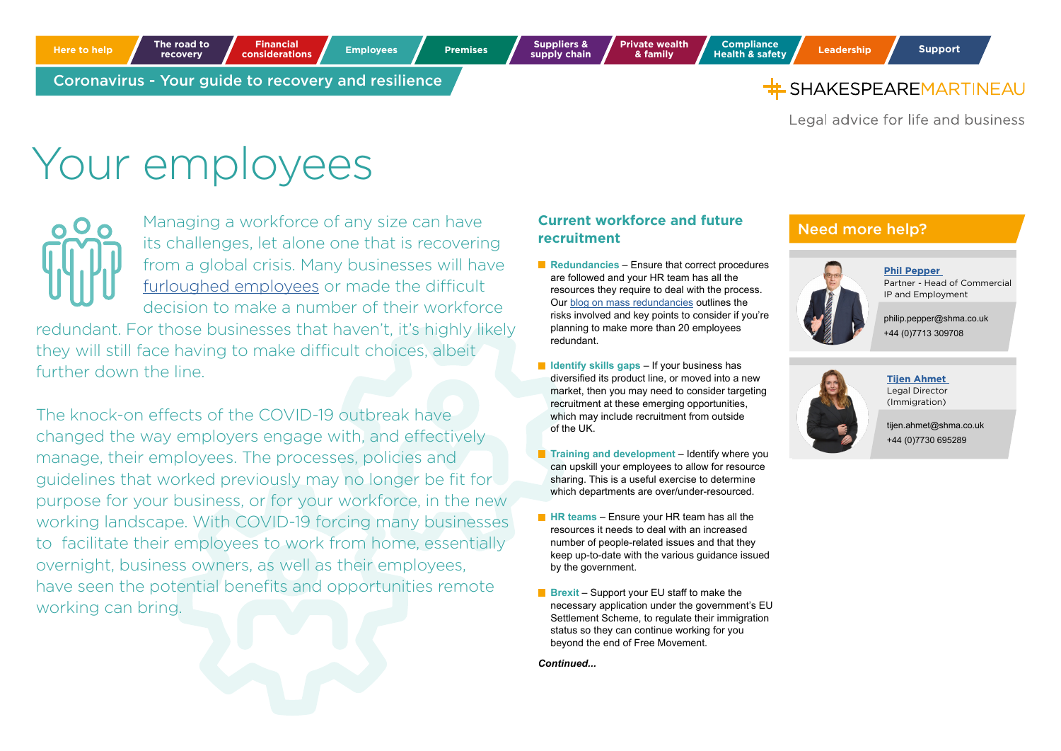Legal advice for life and business

# Your employees

Managing a workforce of any size can have its challenges, let alone one that is recovering from a global crisis. Many businesses will have [furloughed employees](https://www.shma.co.uk/our-thoughts/the-job-retention-scheme-your-questions-answered/) or made the difficult decision to make a number of their workforce

redundant. For those businesses that haven't, it's highly likely they will still face having to make difficult choices, albeit further down the line.

The knock-on effects of the COVID-19 outbreak have changed the way employers engage with, and effectively manage, their employees. The processes, policies and guidelines that worked previously may no longer be fit for purpose for your business, or for your workforce, in the new working landscape. With COVID-19 forcing many businesses to facilitate their employees to work from home, essentially overnight, business owners, as well as their employees, have seen the potential benefits and opportunities remote working can bring.

#### **Current workforce and future recruitment**

- **Redundancies** Ensure that correct procedures are followed and your HR team has all the resources they require to deal with the process. Our [blog on mass redundancies](https://www.shma.co.uk/our-thoughts/redundancies-during-covid-19-coronavirus-job-extension-provides-some-relief/) outlines the risks involved and key points to consider if you're planning to make more than 20 employees redundant.
- **In Identify skills gaps** If your business has diversified its product line, or moved into a new market, then you may need to consider targeting recruitment at these emerging opportunities, which may include recruitment from outside of the UK.
- **Training and development** Identify where you can upskill your employees to allow for resource sharing. This is a useful exercise to determine which departments are over/under-resourced.
- **HR teams** Ensure your HR team has all the resources it needs to deal with an increased number of people-related issues and that they keep up-to-date with the various guidance issued by the government.
- **Brexit** Support your EU staff to make the necessary application under the government's EU Settlement Scheme, to regulate their immigration status so they can continue working for you beyond the end of Free Movement.

*Continued...*

## Need more help?



**[Phil Pepper](https://www.shma.co.uk/people/philip-pepper/)**  Partner - Head of Commercial IP and Employment

philip.pepper@shma.co.uk +44 (0)7713 309708



**[Tijen Ahmet](https://www.shma.co.uk/people/tijen-ahmet/)**  Legal Director (Immigration)

tijen.ahmet@shma.co.uk +44 (0)7730 695289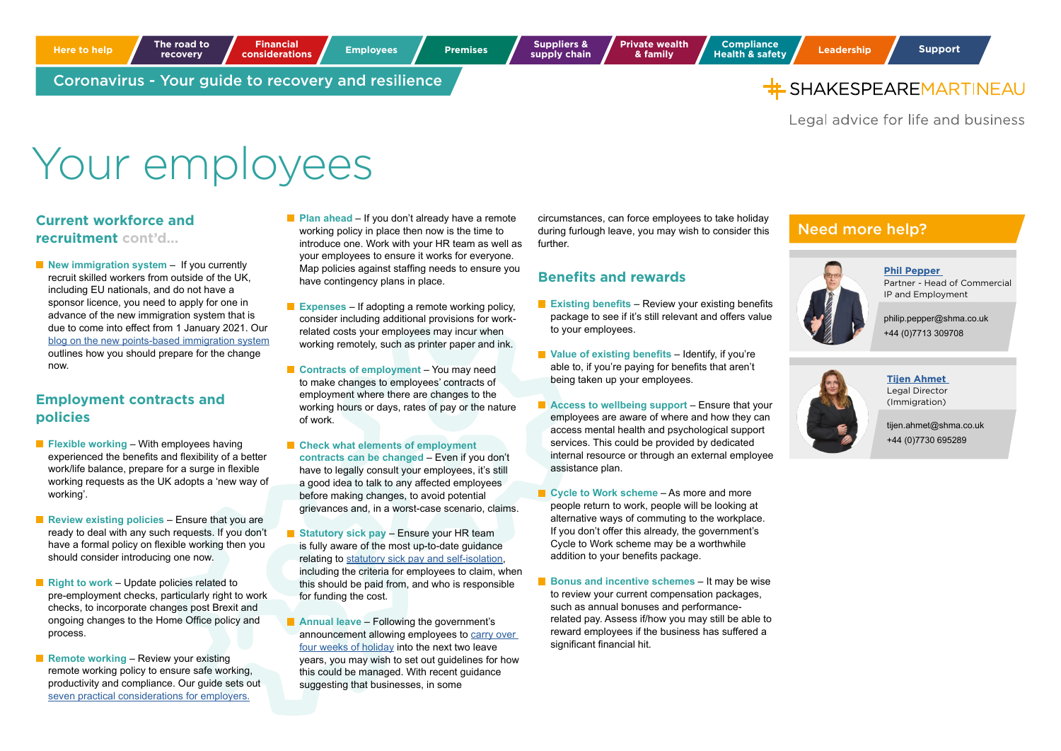

Legal advice for life and business

## Your employees

#### **Current workforce and recruitment cont'd...**

**New immigration system** – If you currently recruit skilled workers from outside of the UK, including EU nationals, and do not have a sponsor licence, you need to apply for one in advance of the new immigration system that is due to come into effect from 1 January 2021. Our [blog on the new points-based immigration system](https://www.shma.co.uk/our-thoughts/the-new-immigration-system-still-set-to-come-into-force-from-2021/) outlines how you should prepare for the change now.

## **Employment contracts and policies**

- **Flexible working With employees having** experienced the benefits and flexibility of a better work/life balance, prepare for a surge in flexible working requests as the UK adopts a 'new way of working'.
- **Review existing policies** Ensure that you are ready to deal with any such requests. If you don't have a formal policy on flexible working then you should consider introducing one now.
- **Right to work Update policies related to** pre-employment checks, particularly right to work checks, to incorporate changes post Brexit and ongoing changes to the Home Office policy and process.
- **Remote working** Review your existing remote working policy to ensure safe working, productivity and compliance. Our guide sets out [seven practical considerations for employers.](https://www.shma.co.uk/our-thoughts/working-from-home-seven-practical-considerations-for-employers/)
- **Plan ahead** If you don't already have a remote working policy in place then now is the time to introduce one. Work with your HR team as well as your employees to ensure it works for everyone. Map policies against staffing needs to ensure you have contingency plans in place.
- **Expenses** If adopting a remote working policy, consider including additional provisions for workrelated costs your employees may incur when working remotely, such as printer paper and ink.
- **Contracts of employment** You may need to make changes to employees' contracts of employment where there are changes to the working hours or days, rates of pay or the nature of work.
- **Check what elements of employment contracts can be changed** – Even if you don't have to legally consult your employees, it's still a good idea to talk to any affected employees before making changes, to avoid potential grievances and, in a worst-case scenario, claims.
- **Statutory sick pay** Ensure your HR team is fully aware of the most up-to-date guidance relating to [statutory sick pay and self-isolation,](https://www.shma.co.uk/our-thoughts/self-isolation-and-statutory-sick-pay-from-the-first-day-of-absence/) including the criteria for employees to claim, when this should be paid from, and who is responsible for funding the cost.
- **Annual leave** Following the government's announcement allowing employees to [carry over](https://www.shma.co.uk/our-thoughts/how-does-the-coronavirus-act-2020-affect-annual-leave/)  [four weeks of holiday](https://www.shma.co.uk/our-thoughts/how-does-the-coronavirus-act-2020-affect-annual-leave/) into the next two leave years, you may wish to set out guidelines for how this could be managed. With recent guidance suggesting that businesses, in some

circumstances, can force employees to take holiday during furlough leave, you may wish to consider this further.

## **Benefits and rewards**

- **Existing benefits** Review your existing benefits package to see if it's still relevant and offers value to your employees.
- **Value of existing benefits** Identify, if you're able to, if you're paying for benefits that aren't being taken up your employees.
- **Access to wellbeing support** Ensure that your employees are aware of where and how they can access mental health and psychological support services. This could be provided by dedicated internal resource or through an external employee assistance plan.
- Cycle to Work scheme As more and more people return to work, people will be looking at alternative ways of commuting to the workplace. If you don't offer this already, the government's Cycle to Work scheme may be a worthwhile addition to your benefits package.
- **Bonus and incentive schemes It may be wise** to review your current compensation packages, such as annual bonuses and performancerelated pay. Assess if/how you may still be able to reward employees if the business has suffered a significant financial hit.

## Need more help?



- Partner Head of Commercial IP and Employment
- philip.pepper@shma.co.uk +44 (0)7713 309708



**[Tijen Ahmet](https://www.shma.co.uk/people/tijen-ahmet/)**  Legal Director (Immigration)

tijen.ahmet@shma.co.uk +44 (0)7730 695289